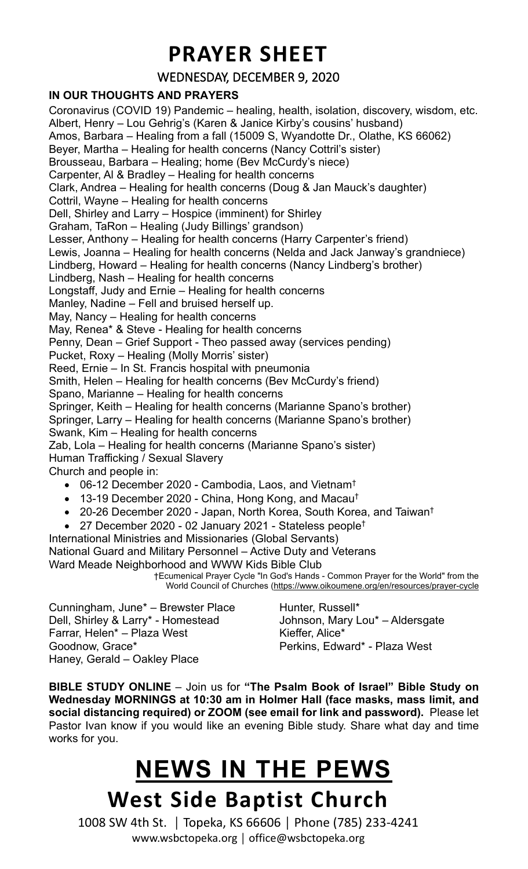## **PRAYER SHEET**

WEDNESDAY, DECEMBER 9, 2020

## **IN OUR THOUGHTS AND PRAYERS**

Coronavirus (COVID 19) Pandemic – healing, health, isolation, discovery, wisdom, etc. Albert, Henry – Lou Gehrig's (Karen & Janice Kirby's cousins' husband) Amos, Barbara – Healing from a fall (15009 S, Wyandotte Dr., Olathe, KS 66062) Beyer, Martha – Healing for health concerns (Nancy Cottril's sister) Brousseau, Barbara – Healing; home (Bev McCurdy's niece) Carpenter, Al & Bradley – Healing for health concerns Clark, Andrea – Healing for health concerns (Doug & Jan Mauck's daughter) Cottril, Wayne – Healing for health concerns Dell, Shirley and Larry – Hospice (imminent) for Shirley Graham, TaRon – Healing (Judy Billings' grandson) Lesser, Anthony – Healing for health concerns (Harry Carpenter's friend) Lewis, Joanna – Healing for health concerns (Nelda and Jack Janway's grandniece) Lindberg, Howard – Healing for health concerns (Nancy Lindberg's brother) Lindberg, Nash – Healing for health concerns Longstaff, Judy and Ernie – Healing for health concerns Manley, Nadine – Fell and bruised herself up. May, Nancy – Healing for health concerns May, Renea\* & Steve - Healing for health concerns Penny, Dean – Grief Support - Theo passed away (services pending) Pucket, Roxy – Healing (Molly Morris' sister) Reed, Ernie – In St. Francis hospital with pneumonia Smith, Helen – Healing for health concerns (Bev McCurdy's friend) Spano, Marianne – Healing for health concerns Springer, Keith – Healing for health concerns (Marianne Spano's brother) Springer, Larry – Healing for health concerns (Marianne Spano's brother) Swank, Kim – Healing for health concerns Zab, Lola – Healing for health concerns (Marianne Spano's sister) Human Trafficking / Sexual Slavery Church and people in: • 06-12 December 2020 - Cambodia, Laos, and Vietnam<sup>t</sup> • 13-19 December 2020 - China, Hong Kong, and Macau<sup>†</sup> • 20-26 December 2020 - Japan, North Korea, South Korea, and Taiwan<sup>†</sup> • 27 December 2020 - 02 January 2021 - Stateless people† International Ministries and Missionaries (Global Servants) National Guard and Military Personnel – Active Duty and Veterans Ward Meade Neighborhood and WWW Kids Bible Club

†Ecumenical Prayer Cycle "In God's Hands - Common Prayer for the World" from the World Council of Churches [\(https://www.oikoumene.org/en/resources/prayer-cycle](https://www.oikoumene.org/en/resources/prayer-cycle)

Cunningham, June\* – Brewster Place Dell, Shirley & Larry\* - Homestead Farrar, Helen\* – Plaza West Goodnow, Grace\* Haney, Gerald – Oakley Place

Hunter, Russell\* Johnson, Mary Lou\* – Aldersgate Kieffer, Alice\* Perkins, Edward\* - Plaza West

**BIBLE STUDY ONLINE** – Join us for **"The Psalm Book of Israel" Bible Study on Wednesday MORNINGS at 10:30 am in Holmer Hall (face masks, mass limit, and social distancing required) or ZOOM (see email for link and password).** Please let Pastor Ivan know if you would like an evening Bible study. Share what day and time works for you.

## **West Side Baptist Church NEWS IN THE PEWS**

1008 SW 4th St. │ Topeka, KS 66606 │ Phone (785) 233-4241 www.wsbctopeka.org │ office@wsbctopeka.org